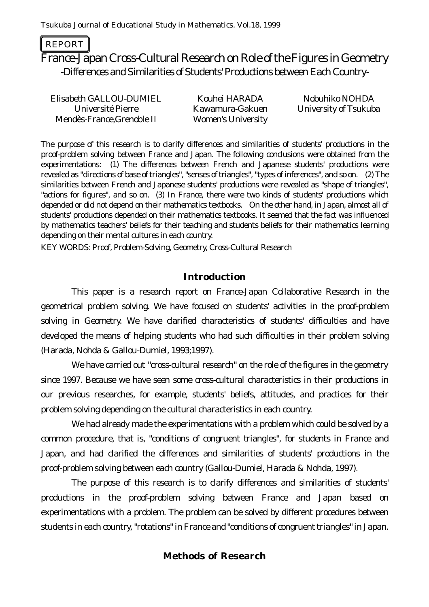#### REPORT

# France-Japan Cross-Cultural Research on Role of the Figures in Geometry -Differences and Similarities of Students' Productions between Each Country-

Elisabeth GALLOU-DUMIEL Kouhei HARADA Nobuhiko NOHDA Université Pierre Mendès-France,Grenoble II

Kawamura-Gakuen Women's University

University of Tsukuba

*The purpose of this research is to clarify differences and similarities of students' productions in the proof-problem solving between France and Japan. The following conclusions were obtained from the experimentations: (1) The differences between French and Japanese students' productions were revealed as "directions of base of triangles", "senses of triangles", "types of inferences", and so on. (2) The similarities between French and Japanese students' productions were revealed as "shape of triangles", "actions for figures", and so on. (3) In France, there were two kinds of students' productions which depended or did not depend on their mathematics textbooks. On the other hand, in Japan, almost all of students' productions depended on their mathematics textbooks. It seemed that the fact was influenced by mathematics teachers' beliefs for their teaching and students beliefs for their mathematics learning depending on their mental cultures in each country.*

KEY WORDS: Proof, Problem-Solving, Geometry, Cross-Cultural Research

# **Introduction**

This paper is a research report on France-Japan Collaborative Research in the geometrical problem solving. We have focused on students' activities in the proof-problem solving in Geometry. We have clarified characteristics of students' difficulties and have developed the means of helping students who had such difficulties in their problem solving (Harada, Nohda & Gallou-Dumiel, 1993;1997).

We have carried out "cross-cultural research" on the role of the figures in the geometry since 1997. Because we have seen some cross-cultural characteristics in their productions in our previous researches, for example, students' beliefs, attitudes, and practices for their problem solving depending on the cultural characteristics in each country.

We had already made the experimentations with a problem which could be solved by a common procedure, that is, "conditions of congruent triangles", for students in France and Japan, and had clarified the differences and similarities of students' productions in the proof-problem solving between each country (Gallou-Dumiel, Harada & Nohda, 1997).

The purpose of this research is to clarify differences and similarities of students' productions in the proof-problem solving between France and Japan based on experimentations with a problem. The problem can be solved by different procedures between students in each country, "rotations" in France and "conditions of congruent triangles" in Japan.

# **Methods of Research**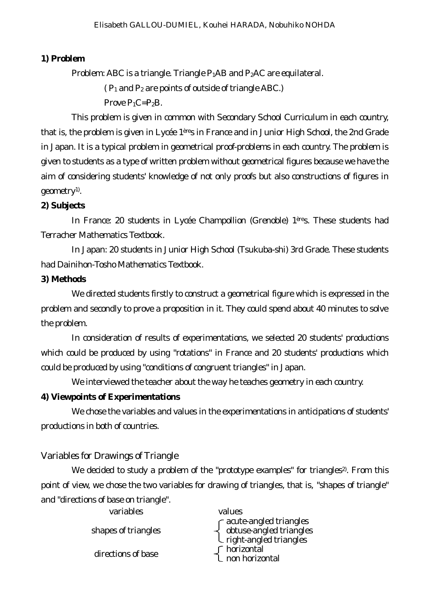# **1) Problem**

Problem: ABC is a triangle. Triangle  $P_1AB$  and  $P_2AC$  are equilateral.

 $(P_1 \text{ and } P_2 \text{ are points of outside of triangle ABC.)}$ 

Prove  $P_1C=P_2B$ .

This problem is given in common with Secondary School Curriculum in each country, that is, the problem is given in Lycée 1ères in France and in Junior High School, the 2nd Grade in Japan. It is a typical problem in geometrical proof-problems in each country. The problem is given to students as a type of written problem without geometrical figures because we have the aim of considering students' knowledge of not only proofs but also constructions of figures in geometry<sup>1)</sup>.

# **2) Subjects**

In France: 20 students in Lycée Champollion (Grenoble) 1ères. These students had Terracher Mathematics Textbook.

In Japan: 20 students in Junior High School (Tsukuba-shi) 3rd Grade. These students had Dainihon-Tosho Mathematics Textbook.

#### **3) Methods**

We directed students firstly to construct a geometrical figure which is expressed in the problem and secondly to prove a proposition in it. They could spend about 40 minutes to solve the problem.

In consideration of results of experimentations, we selected 20 students' productions which could be produced by using "rotations" in France and 20 students' productions which could be produced by using "conditions of congruent triangles" in Japan.

We interviewed the teacher about the way he teaches geometry in each country.

#### **4) Viewpoints of Experimentations**

We chose the variables and values in the experimentations in anticipations of students' productions in both of countries.

# *Variables for Drawings of Triangle*

We decided to study a problem of the "prototype examples" for triangles<sup>2</sup>. From this point of view, we chose the two variables for drawing of triangles, that is, "shapes of triangle" and "directions of base on triangle".

| variables           | values                                                                                                                                          |
|---------------------|-------------------------------------------------------------------------------------------------------------------------------------------------|
| shapes of triangles | $\left\{ \begin{array}{l} \mbox{acute-angled triangles} \\ \mbox{obtuse-angled triangles} \\ \mbox{right-angled triangles} \end{array} \right.$ |
| directions of base  | ∫ horizontal<br>L non horizontal                                                                                                                |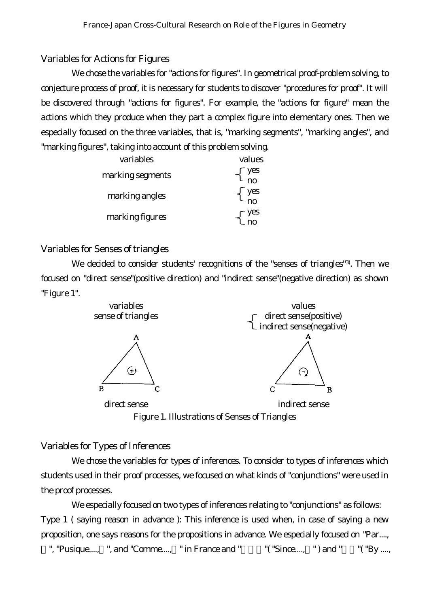# *Variables for Actions for Figures*

We chose the variables for "actions for figures". In geometrical proof-problem solving, to conjecture process of proof, it is necessary for students to discover "procedures for proof". It will be discovered through "actions for figures". For example, the "actions for figure" mean the actions which they produce when they part a complex figure into elementary ones. Then we especially focused on the three variables, that is, "marking segments", "marking angles", and "marking figures", taking into account of this problem solving.

| variables        | values                                                  |
|------------------|---------------------------------------------------------|
| marking segments | $\begin{bmatrix} \text{yes} \\ \text{no} \end{bmatrix}$ |
| marking angles   | yes<br>n٥                                               |
| marking figures  | es/                                                     |

# *Variables for Senses of triangles*

We decided to consider students' recognitions of the "senses of triangles"<sup>3)</sup>. Then we focused on "direct sense"(positive direction) and "indirect sense"(negative direction) as shown "Figure 1".



Figure 1. Illustrations of Senses of Triangles

# *Variables for Types of Inferences*

We chose the variables for types of inferences. To consider to types of inferences which students used in their proof processes, we focused on what kinds of "conjunctions" were used in the proof processes.

We especially focused on two types of inferences relating to "conjunctions" as follows: Type 1 ( saying reason in advance ): This inference is used when, in case of saying a new proposition, one says reasons for the propositions in advance. We especially focused on "Par....,

", "Pusique...., ", and "Comme...., " in France and "  $($  "Since...., ") and "  $($  "By ....,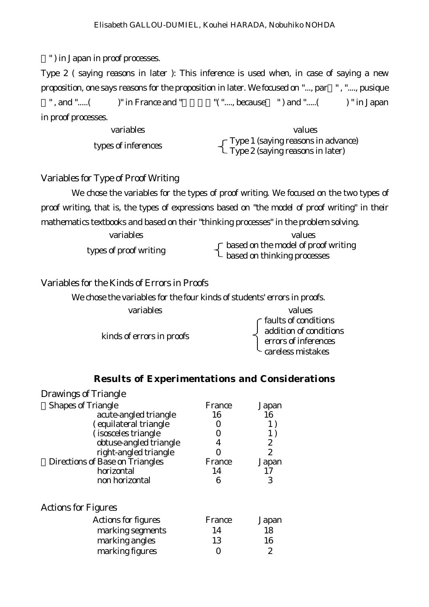" ) in Japan in proof processes.

Type 2 ( saying reasons in later ): This inference is used when, in case of saying a new proposition, one says reasons for the proposition in later. We focused on "..., par " , "...., pusique ", and " $\ldots$  ( )" in France and "  $\ldots$  (" $\ldots$ , because ") and " $\ldots$  ( )" in Japan in proof processes.

| variables           | values                                                                            |
|---------------------|-----------------------------------------------------------------------------------|
| types of inferences | $\Gamma$ Type 1 (saying reasons in advance)<br>L Type 2 (saying reasons in later) |

### *Variables for Type of Proof Writing*

We chose the variables for the types of proof writing. We focused on the two types of proof writing, that is, the types of expressions based on "the model of proof writing" in their mathematics textbooks and based on their "thinking processes" in the problem solving.

| variables              | values                                                                                                                    |
|------------------------|---------------------------------------------------------------------------------------------------------------------------|
| types of proof writing | ∫ based on the model of proof writing<br>$\mathsf{L}\ \mathsf{based}\ \mathsf{on}\ \mathsf{thinking}\ \mathsf{processes}$ |

# *Variables for the Kinds of Errors in Proofs*

| We chose the variables for the four kinds of students' errors in proofs. |                                                                                                          |
|--------------------------------------------------------------------------|----------------------------------------------------------------------------------------------------------|
| variables                                                                | values                                                                                                   |
| kinds of errors in proofs                                                | $\int _{0}^{0} 1 \, du$ faults of conditions<br>errors of inferences<br>$\mathsf{L}\,$ careless mistakes |

# **Results of Experimentations and Considerations**

| <b>Drawings of Triangle</b>     |        |                |
|---------------------------------|--------|----------------|
| <b>Shapes of Triangle</b>       | France | Japan          |
| acute-angled triangle           | 16     | 16             |
| (equilateral triangle           |        | 1)             |
| (isosceles triangle             |        | 1)             |
| obtuse-angled triangle          | 4      | 2              |
| right-angled triangle           |        | $\overline{2}$ |
| Directions of Base on Triangles | France | Japan          |
| horizontal                      | 14     |                |
| non horizontal                  | 6      | 3              |
| <b>Actions for Figures</b>      |        |                |
| Actions for figures             | France | Japan          |
| marking segments                | 14     | 18             |
| marking angles                  | 13     | 16             |
| marking figures                 |        | 2              |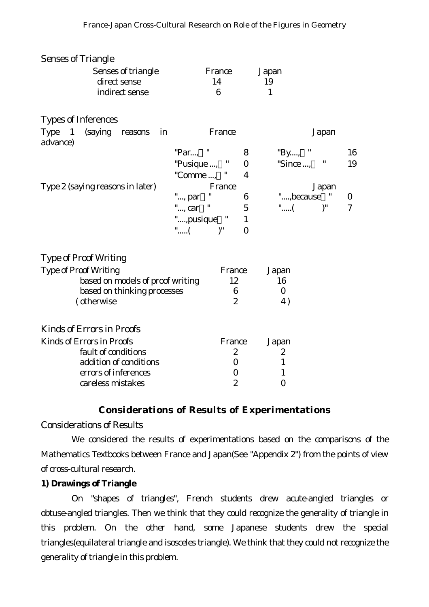| <b>Senses of Triangle</b>                                             |             |                  |                  |                            |                |
|-----------------------------------------------------------------------|-------------|------------------|------------------|----------------------------|----------------|
| Senses of triangle                                                    |             | France           |                  | Japan                      |                |
| direct sense                                                          |             | 14               |                  | 19                         |                |
| indirect sense                                                        |             | $6\phantom{1}6$  |                  | $\mathbf{1}$               |                |
| <b>Types of Inferences</b>                                            |             |                  |                  |                            |                |
| <b>Type</b><br>(saying<br>$\blacksquare$<br>in<br>reasons<br>advance) |             | France           |                  | Japan                      |                |
|                                                                       | "Par, "     |                  | 8                | "By, "                     | 16             |
|                                                                       | "Pusique ,  | $\mathbf{u}$     | $\boldsymbol{0}$ | "Since , $"$               | 19             |
|                                                                       | "Comme ,    |                  | 4                |                            |                |
| Type 2 (saying reasons in later)                                      |             | France           |                  | Japan                      |                |
|                                                                       | ", par      | 11               | 6                | ", because<br>$\mathbf{u}$ | $\bf{0}$       |
|                                                                       | ", car "    |                  | $\mathbf 5$      | "(<br>$)^"$                | $\overline{7}$ |
|                                                                       | ",pusique " |                  | $\mathbf{1}$     |                            |                |
|                                                                       | "(          | $)^"$            | $\mathbf{0}$     |                            |                |
|                                                                       |             |                  |                  |                            |                |
| <b>Type of Proof Writing</b>                                          |             |                  |                  |                            |                |
| <b>Type of Proof Writing</b>                                          |             | France           |                  | Japan                      |                |
| based on models of proof writing                                      |             | 12               |                  | 16                         |                |
| based on thinking processes                                           |             | $6\phantom{1}6$  |                  | $\bf{0}$                   |                |
| (otherwise                                                            |             | $\boldsymbol{2}$ |                  | 4)                         |                |
| <b>Kinds of Errors in Proofs</b>                                      |             |                  |                  |                            |                |
| <b>Kinds of Errors in Proofs</b>                                      |             | France           |                  | Japan                      |                |
| fault of conditions                                                   |             | $\boldsymbol{2}$ |                  | 2                          |                |
| addition of conditions                                                |             | $\bf{0}$         |                  | $\mathbf{1}$               |                |
| errors of inferences                                                  |             | 0                |                  | $\mathbf{1}$               |                |
| careless mistakes                                                     |             | $\boldsymbol{2}$ |                  | $\boldsymbol{0}$           |                |

# **Considerations of Results of Experimentations**

# *Considerations of Results*

We considered the results of experimentations based on the comparisons of the Mathematics Textbooks between France and Japan(See "Appendix 2") from the points of view of cross-cultural research.

#### **1) Drawings of Triangle**

On "shapes of triangles", French students drew acute-angled triangles or obtuse-angled triangles. Then we think that they could recognize the generality of triangle in this problem. On the other hand, some Japanese students drew the special triangles(equilateral triangle and isosceles triangle). We think that they could not recognize the generality of triangle in this problem.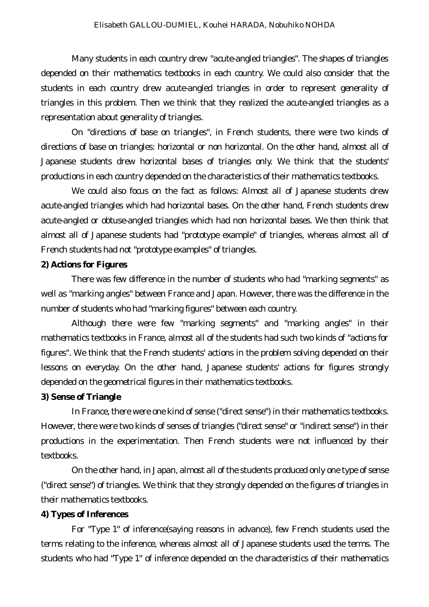Many students in each country drew "acute-angled triangles". The shapes of triangles depended on their mathematics textbooks in each country. We could also consider that the students in each country drew acute-angled triangles in order to represent generality of triangles in this problem. Then we think that they realized the acute-angled triangles as a representation about generality of triangles.

On "directions of base on triangles", in French students, there were two kinds of directions of base on triangles: horizontal or non horizontal. On the other hand, almost all of Japanese students drew horizontal bases of triangles only. We think that the students' productions in each country depended on the characteristics of their mathematics textbooks.

We could also focus on the fact as follows: Almost all of Japanese students drew acute-angled triangles which had horizontal bases. On the other hand, French students drew acute-angled or obtuse-angled triangles which had non horizontal bases. We then think that almost all of Japanese students had "prototype example" of triangles, whereas almost all of French students had not "prototype examples" of triangles.

#### **2) Actions for Figures**

There was few difference in the number of students who had "marking segments" as well as "marking angles" between France and Japan. However, there was the difference in the number of students who had "marking figures" between each country.

Although there were few "marking segments" and "marking angles" in their mathematics textbooks in France, almost all of the students had such two kinds of "actions for figures". We think that the French students' actions in the problem solving depended on their lessons on everyday. On the other hand, Japanese students' actions for figures strongly depended on the geometrical figures in their mathematics textbooks.

#### **3) Sense of Triangle**

In France, there were one kind of sense ("direct sense") in their mathematics textbooks. However, there were two kinds of senses of triangles ("direct sense" or "indirect sense") in their productions in the experimentation. Then French students were not influenced by their textbooks.

On the other hand, in Japan, almost all of the students produced only one type of sense ("direct sense") of triangles. We think that they strongly depended on the figures of triangles in their mathematics textbooks.

#### **4) Types of Inferences**

For "Type 1" of inference(saying reasons in advance), few French students used the terms relating to the inference, whereas almost all of Japanese students used the terms. The students who had "Type 1" of inference depended on the characteristics of their mathematics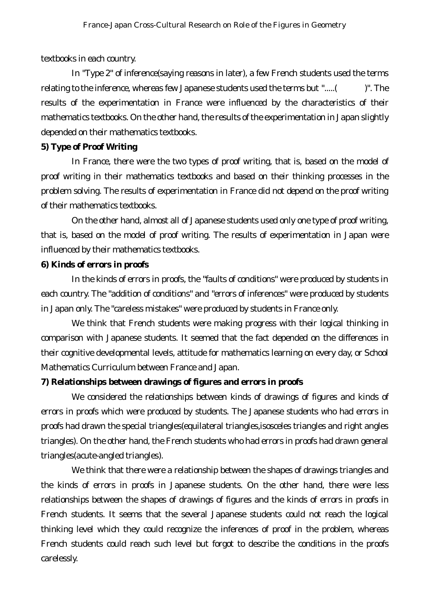textbooks in each country.

In "Type 2" of inference(saying reasons in later), a few French students used the terms relating to the inference, whereas few Japanese students used the terms but ".....( )". The results of the experimentation in France were influenced by the characteristics of their mathematics textbooks. On the other hand, the results of the experimentation in Japan slightly depended on their mathematics textbooks.

#### **5) Type of Proof Writing**

In France, there were the two types of proof writing, that is, based on the model of proof writing in their mathematics textbooks and based on their thinking processes in the problem solving. The results of experimentation in France did not depend on the proof writing of their mathematics textbooks.

On the other hand, almost all of Japanese students used only one type of proof writing, that is, based on the model of proof writing. The results of experimentation in Japan were influenced by their mathematics textbooks.

# **6) Kinds of errors in proofs**

In the kinds of errors in proofs, the "faults of conditions" were produced by students in each country. The "addition of conditions" and "errors of inferences" were produced by students in Japan only. The "careless mistakes" were produced by students in France only.

We think that French students were making progress with their logical thinking in comparison with Japanese students. It seemed that the fact depended on the differences in their cognitive developmental levels, attitude for mathematics learning on every day, or School Mathematics Curriculum between France and Japan.

#### **7) Relationships between drawings of figures and errors in proofs**

We considered the relationships between kinds of drawings of figures and kinds of errors in proofs which were produced by students. The Japanese students who had errors in proofs had drawn the special triangles(equilateral triangles,isosceles triangles and right angles triangles). On the other hand, the French students who had errors in proofs had drawn general triangles(acute-angled triangles).

We think that there were a relationship between the shapes of drawings triangles and the kinds of errors in proofs in Japanese students. On the other hand, there were less relationships between the shapes of drawings of figures and the kinds of errors in proofs in French students. It seems that the several Japanese students could not reach the logical thinking level which they could recognize the inferences of proof in the problem, whereas French students could reach such level but forgot to describe the conditions in the proofs carelessly.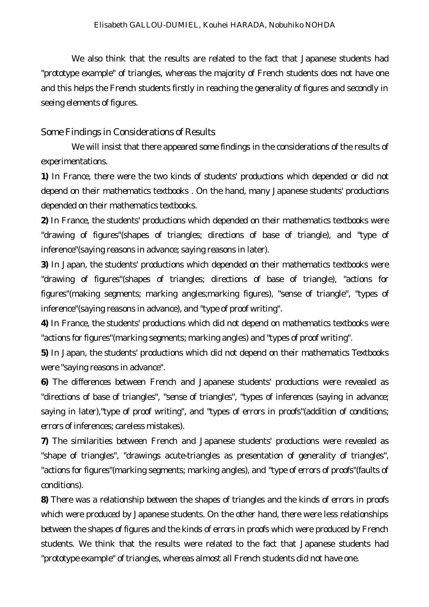We also think that the results are related to the fact that Japanese students had "prototype example" of triangles, whereas the majority of French students does not have one and this helps the French students firstly in reaching the generality of figures and secondly in seeing elements of figures.

#### *Some Findings in Considerations of Results*

We will insist that there appeared some findings in the considerations of the results of experimentations.

**1)** In France, there were the two kinds of students' productions which depended or did not depend on their mathematics textbooks . On the hand, many Japanese students' productions depended on their mathematics textbooks.

**2)** In France, the students' productions which depended on their mathematics textbooks were "drawing of figures"(shapes of triangles; directions of base of triangle), and "type of inference"(saying reasons in advance; saying reasons in later).

**3)** In Japan, the students' productions which depended on their mathematics textbooks were "drawing of figures"(shapes of triangles; directions of base of triangle), "actions for figures"(making segments; marking angles;marking figures), "sense of triangle", "types of inference"(saying reasons in advance), and "type of proof writing".

**4)** In France, the students' productions which did not depend on mathematics textbooks were "actions for figures"(marking segments; marking angles) and "types of proof writing".

**5)** In Japan, the students' productions which did not depend on their mathematics Textbooks were "saying reasons in advance".

**6)** The differences between French and Japanese students' productions were revealed as "directions of base of triangles", "sense of triangles", "types of inferences (saying in advance; saying in later),"type of proof writing", and "types of errors in proofs"(addition of conditions; errors of inferences; careless mistakes).

**7)** The similarities between French and Japanese students' productions were revealed as "shape of triangles", "drawings acute-triangles as presentation of generality of triangles", "actions for figures"(marking segments; marking angles), and "type of errors of proofs"(faults of conditions).

**8)** There was a relationship between the shapes of triangles and the kinds of errors in proofs which were produced by Japanese students. On the other hand, there were less relationships between the shapes of figures and the kinds of errors in proofs which were produced by French students. We think that the results were related to the fact that Japanese students had "prototype example" of triangles, whereas almost all French students did not have one.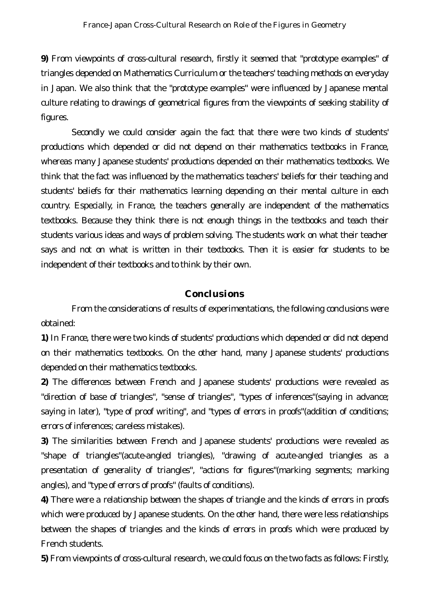**9)** From viewpoints of cross-cultural research, firstly it seemed that "prototype examples" of triangles depended on Mathematics Curriculum or the teachers' teaching methods on everyday in Japan. We also think that the "prototype examples" were influenced by Japanese mental culture relating to drawings of geometrical figures from the viewpoints of seeking stability of figures.

Secondly we could consider again the fact that there were two kinds of students' productions which depended or did not depend on their mathematics textbooks in France, whereas many Japanese students' productions depended on their mathematics textbooks. We think that the fact was influenced by the mathematics teachers' beliefs for their teaching and students' beliefs for their mathematics learning depending on their mental culture in each country. Especially, in France, the teachers generally are independent of the mathematics textbooks. Because they think there is not enough things in the textbooks and teach their students various ideas and ways of problem solving. The students work on what their teacher says and not on what is written in their textbooks. Then it is easier for students to be independent of their textbooks and to think by their own.

#### **Conclusions**

From the considerations of results of experimentations, the following conclusions were obtained:

**1)** In France, there were two kinds of students' productions which depended or did not depend on their mathematics textbooks. On the other hand, many Japanese students' productions depended on their mathematics textbooks.

**2)** The differences between French and Japanese students' productions were revealed as "direction of base of triangles", "sense of triangles", "types of inferences"(saying in advance; saying in later), "type of proof writing", and "types of errors in proofs"(addition of conditions; errors of inferences; careless mistakes).

**3)** The similarities between French and Japanese students' productions were revealed as "shape of triangles"(acute-angled triangles), "drawing of acute-angled triangles as a presentation of generality of triangles", "actions for figures"(marking segments; marking angles), and "type of errors of proofs" (faults of conditions).

**4)** There were a relationship between the shapes of triangle and the kinds of errors in proofs which were produced by Japanese students. On the other hand, there were less relationships between the shapes of triangles and the kinds of errors in proofs which were produced by French students.

**5)** From viewpoints of cross-cultural research, we could focus on the two facts as follows: Firstly,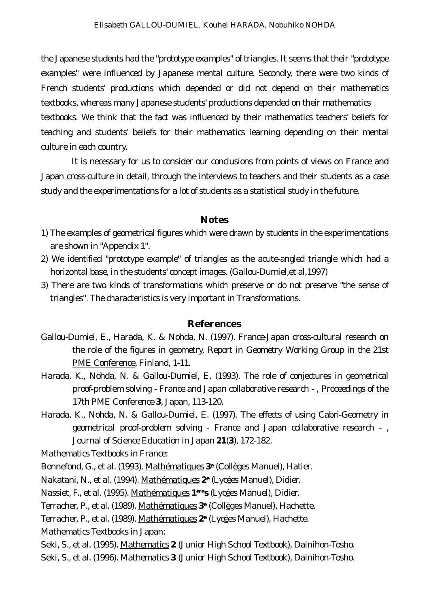the Japanese students had the "prototype examples" of triangles. It seems that their "prototype examples" were influenced by Japanese mental culture. Secondly, there were two kinds of French students' productions which depended or did not depend on their mathematics textbooks, whereas many Japanese students' productions depended on their mathematics textbooks. We think that the fact was influenced by their mathematics teachers' beliefs for teaching and students' beliefs for their mathematics learning depending on their mental culture in each country.

It is necessary for us to consider our conclusions from points of views on France and Japan cross-culture in detail, through the interviews to teachers and their students as a case study and the experimentations for a lot of students as a statistical study in the future.

#### **Notes**

- 1) The examples of geometrical figures which were drawn by students in the experimentations are shown in "Appendix 1".
- 2) We identified "prototype example" of triangles as the acute-angled triangle which had a horizontal base, in the students' concept images. (Gallou-Dumiel,et al,1997)
- 3) There are two kinds of transformations which preserve or do not preserve "the sense of triangles". The characteristics is very important in Transformations.

#### **References**

- Gallou-Dumiel, E., Harada, K. & Nohda, N. (1997). France-Japan cross-cultural research on the role of the figures in geometry, Report in Geometry Working Group in the 21st PME Conference, Finland, 1-11.
- Harada, K., Nohda, N. & Gallou-Dumiel, E. (1993). The role of conjectures in geometrical proof-problem solving - France and Japan collaborative research - , Proceedings of the 17th PME Conference **3**, Japan, 113-120.
- Harada, K., Nohda, N. & Gallou-Dumiel, E. (1997). The effects of using Cabri-Geometry in geometrical proof-problem solving - France and Japan collaborative research - , Journal of Science Education in Japan **21**(**3**), 172-182.
- Mathematics Textbooks in France:
- Bonnefond, G., et al. (1993). Mathématiques **3<sup>e</sup>** (Collèges Manuel), Hatier.
- Nakatani, N., et al. (1994). Mathématiques **2<sup>e</sup>** (Lycées Manuel), Didier.
- Nassiet, F., et al. (1995). Mathématiques **1ères** (Lycées Manuel), Didier.
- Terracher, P., et al. (1989). Mathématiques **3<sup>e</sup>** (Collèges Manuel), Hachette.
- Terracher, P., et al. (1989). Mathématiques **2<sup>e</sup>** (Lycées Manuel), Hachette.
- Mathematics Textbooks in Japan:
- Seki, S., et al. (1995). Mathematics **2** (Junior High School Textbook), Dainihon-Tosho.
- Seki, S., et al. (1996). Mathematics **3** (Junior High School Textbook), Dainihon-Tosho.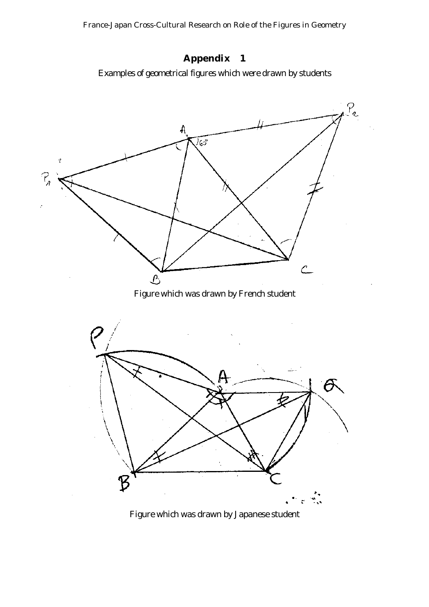France-Japan Cross-Cultural Research on Role of the Figures in Geometry



Examples of geometrical figures which were drawn by students



Figure which was drawn by Japanese student